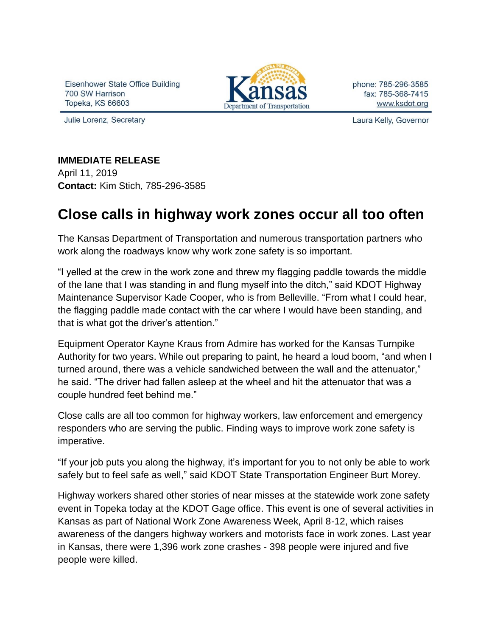Eisenhower State Office Building 700 SW Harrison **Topeka, KS 66603** 

Julie Lorenz, Secretary



phone: 785-296-3585 fax: 785-368-7415 www.ksdot.org

Laura Kelly, Governor

## **IMMEDIATE RELEASE**

April 11, 2019 **Contact:** Kim Stich, 785-296-3585

## **Close calls in highway work zones occur all too often**

The Kansas Department of Transportation and numerous transportation partners who work along the roadways know why work zone safety is so important.

"I yelled at the crew in the work zone and threw my flagging paddle towards the middle of the lane that I was standing in and flung myself into the ditch," said KDOT Highway Maintenance Supervisor Kade Cooper, who is from Belleville. "From what I could hear, the flagging paddle made contact with the car where I would have been standing, and that is what got the driver's attention."

Equipment Operator Kayne Kraus from Admire has worked for the Kansas Turnpike Authority for two years. While out preparing to paint, he heard a loud boom, "and when I turned around, there was a vehicle sandwiched between the wall and the attenuator," he said. "The driver had fallen asleep at the wheel and hit the attenuator that was a couple hundred feet behind me."

Close calls are all too common for highway workers, law enforcement and emergency responders who are serving the public. Finding ways to improve work zone safety is imperative.

"If your job puts you along the highway, it's important for you to not only be able to work safely but to feel safe as well," said KDOT State Transportation Engineer Burt Morey.

Highway workers shared other stories of near misses at the statewide work zone safety event in Topeka today at the KDOT Gage office. This event is one of several activities in Kansas as part of National Work Zone Awareness Week, April 8-12, which raises awareness of the dangers highway workers and motorists face in work zones. Last year in Kansas, there were 1,396 work zone crashes - 398 people were injured and five people were killed.